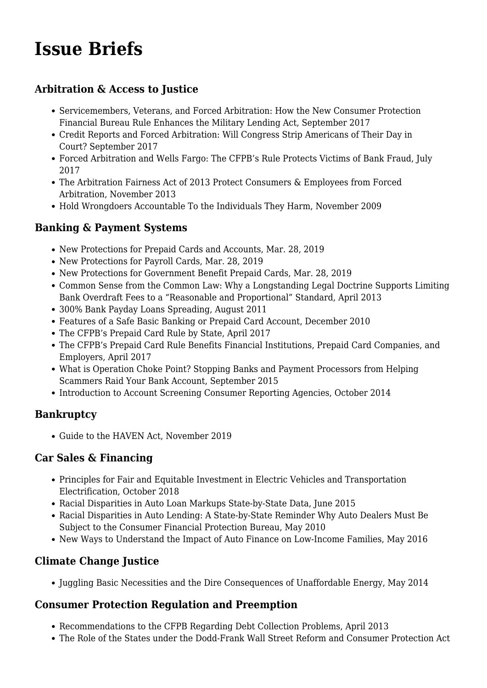# **[Issue Briefs](https://www.nclc.org/news-archive/issue-briefs.html)**

## **Arbitration & Access to Justice**

- [Servicemembers, Veterans, and Forced Arbitration: How the New Consumer Protection](https://www.nclc.org/images/pdf/arbitration/ib-arbitration-rule-military-ledning.pdf) [Financial Bureau Rule Enhances the Military Lending Act,](https://www.nclc.org/images/pdf/arbitration/ib-arbitration-rule-military-ledning.pdf) September 2017
- [Credit Reports and Forced Arbitration: Will Congress Strip Americans of Their Day in](https://www.nclc.org/images/pdf/credit_reports/equifax-data-breach-forced-arb-092017.pdf) [Court?](https://www.nclc.org/images/pdf/credit_reports/equifax-data-breach-forced-arb-092017.pdf) September 2017
- [Forced Arbitration and Wells Fargo: The CFPB's Rule Protects Victims of Bank Fraud](https://www.nclc.org/images/pdf/arbitration/arb-wells-fargo.pdf), July 2017
- [The Arbitration Fairness Act of 2013 Protect Consumers & Employees from Forced](https://www.nclc.org/images/pdf/arbitration/ib-arbitration-fairness-act-nov-2013.pdf) [Arbitration,](https://www.nclc.org/images/pdf/arbitration/ib-arbitration-fairness-act-nov-2013.pdf) November 2013
- [Hold Wrongdoers Accountable To the Individuals They Harm,](https://www.nclc.org/images/pdf/regulatory_reform/issue-hold-wrongdoers-accountable.pdf) November 2009

## **Banking & Payment Systems**

- [New Protections for Prepaid Cards and Accounts](http://bit.ly/prep-car), Mar. 28, 2019
- [New Protections for Payroll Cards](http://bit.ly/payr-ca), Mar. 28, 2019
- [New Protections for Government Benefit Prepaid Cards,](http://bit.ly/gov-crd) Mar. 28, 2019
- [Common Sense from the Common Law: Why a Longstanding Legal Doctrine Supports Limiting](https://www.nclc.org/images/pdf/high_cost_small_loans/ib-common-sense-common-law.pdf) [Bank Overdraft Fees to a "Reasonable and Proportional" Standard](https://www.nclc.org/images/pdf/high_cost_small_loans/ib-common-sense-common-law.pdf), April 2013
- [300% Bank Payday Loans Spreading,](https://www.nclc.org/images/pdf/banking_and_payment_systems/ib_bank_payday_spreading.pdf) August 2011
- [Features of a Safe Basic Banking or Prepaid Card Account,](https://www.nclc.org/images/pdf/banking_and_payment_systems/issue-brief-safe-banking.pdf) December 2010
- [The CFPB's Prepaid Card Rule by State,](https://www.nclc.org/?p=5852) April 2017
- [The CFPB's Prepaid Card Rule Benefits Financial Institutions, Prepaid Card Companies, and](https://www.nclc.org/images/pdf/banking_and_payment_systems/ib-prepaid-card-rule-industry-benefits.pdf) [Employers,](https://www.nclc.org/images/pdf/banking_and_payment_systems/ib-prepaid-card-rule-industry-benefits.pdf) April 2017
- [What is Operation Choke Point? Stopping Banks and Payment Processors from Helping](https://www.nclc.org/images/pdf/banking_and_payment_systems/payment-fraud/ib_what_is_operation_choke_point52815.pdf) [Scammers Raid Your Bank Account,](https://www.nclc.org/images/pdf/banking_and_payment_systems/payment-fraud/ib_what_is_operation_choke_point52815.pdf) September 2015
- [Introduction to Account Screening Consumer Reporting Agencies,](https://www.nclc.org/images/pdf/credit_reports/ib-cra-screening.pdf) October 2014

#### **Bankruptcy**

[Guide to the HAVEN Act](https://www.nclc.org/issues/guide-to-the-haven-act.html), November 2019

#### **Car Sales & Financing**

- [Principles for Fair and Equitable Investment in Electric Vehicles and Transportation](http://bit.ly/2OqN080) [Electrification,](http://bit.ly/2OqN080) October 2018
- [Racial Disparities in Auto Loan Markups State-by-State Data,](https://www.nclc.org/images/pdf/car_sales/ib-auto-dealers-racial_disparities.pdf) June 2015
- [Racial Disparities in Auto Lending: A State-by-State Reminder Why Auto Dealers Must Be](https://www.nclc.org/images/pdf/regulatory_reform/issue-brief-auto-dealer-racial-disparites.pdf) [Subject to the Consumer Financial Protection Bureau,](https://www.nclc.org/images/pdf/regulatory_reform/issue-brief-auto-dealer-racial-disparites.pdf) May 2010
- [New Ways to Understand the Impact of Auto Finance on Low-Income Families,](https://www.nclc.org/images/pdf/car_sales/ibImportance_AutoFinanceFINAL53116.pdf) May 2016

# **Climate Change Justice**

• [Juggling Basic Necessities and the Dire Consequences of Unaffordable Energy,](https://www.nclc.org/images/pdf/special_projects/climate_change/ib-energy-affordability-2014.pdf) May 2014

#### **Consumer Protection Regulation and Preemption**

- [Recommendations to the CFPB Regarding Debt Collection Problems](https://www.nclc.org/images/pdf/debt_collection/recommendations-to-CFPB-Debt-Collection.pdf), April 2013
- [The Role of the States under the Dodd-Frank Wall Street Reform and Consumer Protection Act](https://www.nclc.org/images/pdf/legislation/dodd-frank-role-of-the-states.pdf)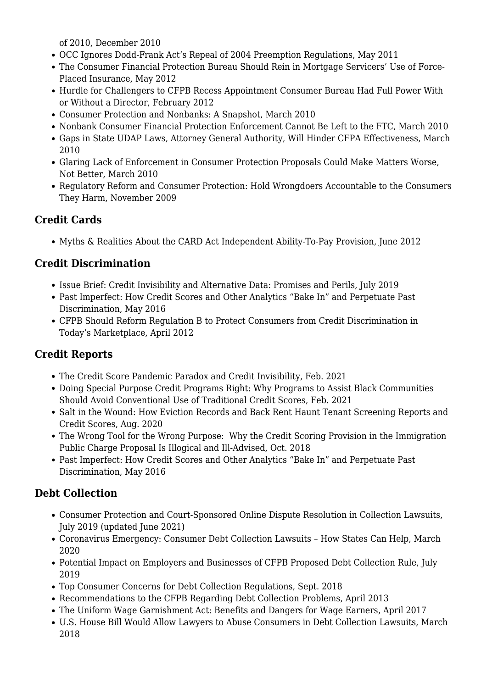[of 2010](https://www.nclc.org/images/pdf/legislation/dodd-frank-role-of-the-states.pdf), December 2010

- [OCC Ignores Dodd-Frank Act's Repeal of 2004 Preemption Regulations](https://www.nclc.org/images/pdf/preemption/occ-ignores-dodd-frank.pdf), May 2011
- [The Consumer Financial Protection Bureau Should Rein in Mortgage Servicers' Use of Force-](https://www.nclc.org/images/pdf/regulatory_reform/ib-force-placed-insurance.pdf)[Placed Insurance](https://www.nclc.org/images/pdf/regulatory_reform/ib-force-placed-insurance.pdf), May 2012
- [Hurdle for Challengers to CFPB Recess Appointment Consumer Bureau Had Full Power With](https://www.nclc.org/images/pdf/regulatory_reform/issue-brief-cfpb-interim-powers.pdf) [or Without a Director](https://www.nclc.org/images/pdf/regulatory_reform/issue-brief-cfpb-interim-powers.pdf), February 2012
- [Consumer Protection and Nonbanks: A Snapshot](https://www.nclc.org/images/pdf/regulatory_reform/issue-brief-cfpa-nonbanks.pdf), March 2010
- [Nonbank Consumer Financial Protection Enforcement Cannot Be Left to the FTC](https://www.nclc.org/images/pdf/regulatory_reform/issue-ftc-enforcement.pdf), March 2010
- [Gaps in State UDAP Laws, Attorney General Authority, Will Hinder CFPA Effectiveness](https://www.nclc.org/images/pdf/regulatory_reform/issue-state-udap-cfpa.pdf), March 2010
- [Glaring Lack of Enforcement in Consumer Protection Proposals Could Make Matters Worse,](https://www.nclc.org/images/pdf/regulatory_reform/issue-cfpa-enforcement-gap.pdf) [Not Better,](https://www.nclc.org/images/pdf/regulatory_reform/issue-cfpa-enforcement-gap.pdf) March 2010
- [Regulatory Reform and Consumer Protection: Hold Wrongdoers Accountable to the Consumers](https://www.nclc.org/images/pdf/regulatory_reform/issue-hold-wrongdoers-accountable.pdf) [They Harm,](https://www.nclc.org/images/pdf/regulatory_reform/issue-hold-wrongdoers-accountable.pdf) November 2009

# **Credit Cards**

[Myths & Realities About the CARD Act Independent Ability-To-Pay Provision](https://www.nclc.org/images/pdf/credit_cards/ib_household_income_6_june_2012.pdf), June 2012

# **Credit Discrimination**

- [Issue Brief: Credit Invisibility and Alternative Data: Promises and Perils,](https://www.nclc.org/issues/issue-brief-credit-invisibility-and-alternative-data.html) July 2019
- [Past Imperfect: How Credit Scores and Other Analytics "Bake In" and Perpetuate Past](https://www.nclc.org/images/pdf/credit_discrimination/Past_Imperfect050616.pdf) [Discrimination](https://www.nclc.org/images/pdf/credit_discrimination/Past_Imperfect050616.pdf), May 2016
- [CFPB Should Reform Regulation B to Protect Consumers from Credit Discrimination in](https://www.nclc.org/images/pdf/credit_discrimination/reg_b_reform_april2012.pdf) [Today's Marketplace,](https://www.nclc.org/images/pdf/credit_discrimination/reg_b_reform_april2012.pdf) April 2012

# **Credit Reports**

- [The Credit Score Pandemic Paradox and Credit Invisibility](http://bit.ly/covid-invisible-credit), Feb. 2021
- [Doing Special Purpose Credit Programs Right: Why Programs to Assist Black Communities](http://bit.ly/Black-credit-programs) [Should Avoid Conventional Use of Traditional Credit Scores,](http://bit.ly/Black-credit-programs) Feb. 2021
- [Salt in the Wound: How Eviction Records and Back Rent Haunt Tenant Screening Reports and](https://bit.ly/brief-salt-in-wound) [Credit Scores](https://bit.ly/brief-salt-in-wound), Aug. 2020
- [The Wrong Tool for the Wrong Purpose: Why the Credit Scoring Provision in the Immigration](https://www.nclc.org/?p=6334) [Public Charge Proposal Is Illogical and Ill-Advised](https://www.nclc.org/?p=6334), Oct. 2018
- [Past Imperfect: How Credit Scores and Other Analytics "Bake In" and Perpetuate Past](https://www.nclc.org/images/pdf/credit_discrimination/Past_Imperfect050616.pdf) [Discrimination](https://www.nclc.org/images/pdf/credit_discrimination/Past_Imperfect050616.pdf), May 2016

# **Debt Collection**

- [Consumer Protection and Court-Sponsored Online Dispute Resolution in Collection Lawsuits](http://bit.ly/cons-prot-ODR), July 2019 (updated June 2021)
- [Coronavirus Emergency: Consumer Debt Collection Lawsuits How States Can Help,](https://bit.ly/brief-covid-19-lawsuits) March 2020
- [Potential Impact on Employers and Businesses of CFPB Proposed Debt Collection Rule](http://bit.ly/ib-debt-coll-impact), July 2019
- [Top Consumer Concerns for Debt Collection Regulations,](https://www.nclc.org/images/pdf/debt_collection/top-consumer-concerns-debt-collection-regulations-sept2018.pdf) Sept. 2018
- [Recommendations to the CFPB Regarding Debt Collection Problems](https://www.nclc.org/images/pdf/debt_collection/recommendations-to-CFPB-Debt-Collection.pdf), April 2013
- [The Uniform Wage Garnishment Act: Benefits and Dangers for Wage Earners](https://www.nclc.org/images/pdf/debt_collection/ib-uniform-law-commission-2017.pdf), April 2017
- [U.S. House Bill Would Allow Lawyers to Abuse Consumers in Debt Collection Lawsuits,](http://bit.ly/2KBiPqb) March 2018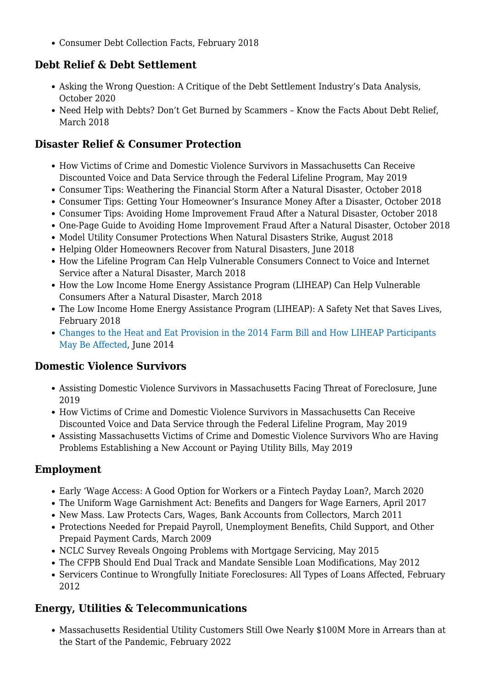[Consumer Debt Collection Facts](https://www.nclc.org/images/pdf/debt_collection/Debt-Collection-Facts-2016.pdf), February 2018

## **Debt Relief & Debt Settlement**

- [Asking the Wrong Question: A Critique of the Debt Settlement Industry's Data Analysis,](https://www.nclc.org/images/pdf/debt_settlement/IB_AFCC_Debt_Settlement.pdf) October 2020
- Need Help with Debts? Don't Get Burned by Scammers Know the Facts About Debt Relief, March 2018

## **Disaster Relief & Consumer Protection**

- [How Victims of Crime and Domestic Violence Survivors in Massachusetts Can Receive](https://www.nclc.org/images/pdf/domestic_violence/dv-issue-brief-lifeline-may2019.pdf) [Discounted Voice and Data Service through the Federal Lifeline Program](https://www.nclc.org/images/pdf/domestic_violence/dv-issue-brief-lifeline-may2019.pdf), May 2019
- Consumer Tips: [Weathering the Financial Storm After a Natural Disaster,](https://www.nclc.org/?p=6344) October 2018
- Consumer Tips: [Getting Your Homeowner's Insurance Money After a Disaster](https://www.nclc.org/?p=6337), October 2018
- Consumer Tips: [Avoiding Home Improvement Fraud After a Natural Disaster,](https://www.nclc.org/?p=6336) October 2018
- [One-Page Guide to Avoiding Home Improvement Fraud After a Natural Disaster](https://www.nclc.org/?p=6343), October 2018
- [Model Utility Consumer Protections When Natural Disasters Strike,](https://www.nclc.org/images/pdf/disaster-relief/ibutility-protection-disastersFINALAugust2018.pdf) August 2018
- [Helping Older Homeowners Recover from Natural Disasters,](https://www.nclc.org/images/pdf/disaster-relief/ib-helping-older-recover-disaster.pdf) June 2018
- [How the Lifeline Program Can Help Vulnerable Consumers Connect to Voice and Internet](https://www.nclc.org/images/pdf/disaster-relief/ib-lifeline-disaster-relief.pdf) [Service after a Natural Disaster](https://www.nclc.org/images/pdf/disaster-relief/ib-lifeline-disaster-relief.pdf), March 2018
- [How the Low Income Home Energy Assistance Program \(LIHEAP\) Can Help Vulnerable](https://www.nclc.org/images/pdf/disaster-relief/ib-liheap-disaster-response.pdf) [Consumers After a Natural Disaster](https://www.nclc.org/images/pdf/disaster-relief/ib-liheap-disaster-response.pdf), March 2018
- [The Low Income Home Energy Assistance Program \(LIHEAP\): A Safety Net that Saves Lives](https://www.nclc.org/images/pdf/energy_utility_telecom/liheap/ib-liheap-safety-net-saves-lives.pdf), February 2018
- [Changes to the Heat and Eat Provision in the 2014 Farm Bill and How LIHEAP Participants](https://www.nclc.org/images/pdf/energy_utility_telecom/liheap/ib-heatandat2014-farm-bill.pdf) [May Be Affected,](https://www.nclc.org/images/pdf/energy_utility_telecom/liheap/ib-heatandat2014-farm-bill.pdf) June 2014

#### **Domestic Violence Survivors**

- [Assisting Domestic Violence Survivors in Massachusetts Facing Threat of Foreclosure](https://bit.ly/MA-DV-Foreclosure), June 2019
- [How Victims of Crime and Domestic Violence Survivors in Massachusetts Can Receive](https://www.nclc.org/images/pdf/domestic_violence/dv-issue-brief-lifeline-may2019.pdf) [Discounted Voice and Data Service through the Federal Lifeline Program](https://www.nclc.org/images/pdf/domestic_violence/dv-issue-brief-lifeline-may2019.pdf), May 2019
- [Assisting Massachusetts Victims of Crime and Domestic Violence Survivors Who are Having](https://www.nclc.org/images/pdf/domestic_violence/dv-summary-of-utility-rights-may19.pdf) [Problems Establishing a New Account or Paying Utility Bills,](https://www.nclc.org/images/pdf/domestic_violence/dv-summary-of-utility-rights-may19.pdf) May 2019

# **Employment**

- [Early 'Wage Access: A Good Option for Workers or a Fintech Payday Loan?,](http://bit.ly/early-wage-access) March 2020
- [The Uniform Wage Garnishment Act: Benefits and Dangers for Wage Earners](https://www.nclc.org/images/pdf/debt_collection/ib-uniform-law-commission-2017.pdf), April 2017
- [New Mass. Law Protects Cars, Wages, Bank Accounts from Collectors,](https://www.nclc.org/images/pdf/pr-reports/new-law-protects-cars-wages-bank-accounts.pdf) March 2011
- [Protections Needed for Prepaid Payroll, Unemployment Benefits, Child Support, and Other](https://www.nclc.org/images/pdf/banking_and_payment_systems/electronic_protections_needed.pdf) [Prepaid Payment Cards](https://www.nclc.org/images/pdf/banking_and_payment_systems/electronic_protections_needed.pdf), March 2009
- [NCLC Survey Reveals Ongoing Problems with Mortgage Servicing](https://www.nclc.org/images/pdf/foreclosure_mortgage/mortgage_servicing/ib-servicing-issues-2015.pdf), May 2015
- [The CFPB Should End Dual Track and Mandate Sensible Loan Modifications](https://www.nclc.org/images/pdf/foreclosure_mortgage/mortgage_servicing/ib-cfpb-dual-track.pdf), May 2012
- [Servicers Continue to Wrongfully Initiate Foreclosures: All Types of Loans Affected,](https://www.nclc.org/images/pdf/foreclosure_mortgage/mortgage_servicing/wrongful-foreclosure-survey-results.pdf) February 2012

# **Energy, Utilities & Telecommunications**

[Massachusetts Residential Utility Customers Still Owe Nearly \\$100M More in Arrears than at](https://bit.ly/MA-arrears) [the Start of the Pandemic,](https://bit.ly/MA-arrears) February 2022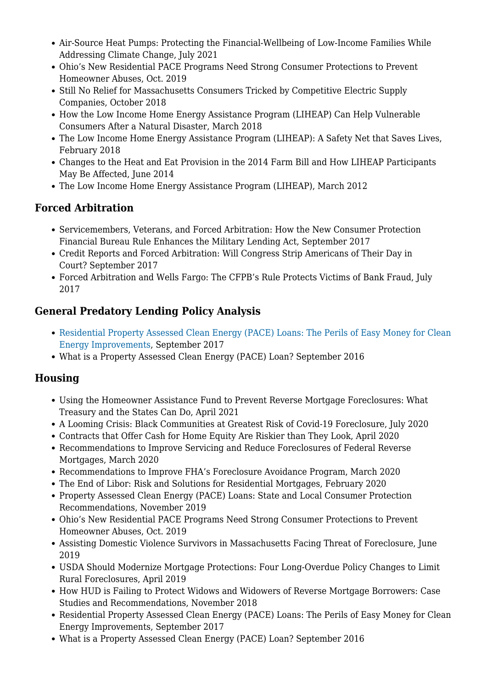- [Air-Source Heat Pumps: Protecting the Financial-Wellbeing of Low-Income Families While](https://bit.ly/ASHP-brief) [Addressing Climate Change,](https://bit.ly/ASHP-brief) July 2021
- [Ohio's New Residential PACE Programs Need Strong Consumer Protections to Prevent](https://www.nclc.org/issues/ib-oh-pace-oct2019.html) [Homeowner Abuses,](https://www.nclc.org/issues/ib-oh-pace-oct2019.html) Oct. 2019
- [Still No Relief for Massachusetts Consumers Tricked by Competitive Electric Supply](https://www.nclc.org/?p=6338) [Companies](https://www.nclc.org/?p=6338), October 2018
- [How the Low Income Home Energy Assistance Program \(LIHEAP\) Can Help Vulnerable](https://www.nclc.org/images/pdf/disaster-relief/ib-liheap-disaster-response.pdf) [Consumers After a Natural Disaster](https://www.nclc.org/images/pdf/disaster-relief/ib-liheap-disaster-response.pdf), March 2018
- [The Low Income Home Energy Assistance Program \(LIHEAP\): A Safety Net that Saves Lives](https://www.nclc.org/images/pdf/energy_utility_telecom/liheap/ib-liheap-safety-net-saves-lives.pdf), February 2018
- [Changes to the Heat and Eat Provision in the 2014 Farm Bill and How LIHEAP Participants](https://www.nclc.org/images/pdf/energy_utility_telecom/liheap/ib-heatandat2014-farm-bill.pdf) [May Be Affected,](https://www.nclc.org/images/pdf/energy_utility_telecom/liheap/ib-heatandat2014-farm-bill.pdf) June 2014
- [The Low Income Home Energy Assistance Program \(LIHEAP\)](https://www.nclc.org/images/pdf/energy_utility_telecom/liheap/issue-brief-liheap-march2012.pdf), March 2012

# **Forced Arbitration**

- [Servicemembers, Veterans, and Forced Arbitration: How the New Consumer Protection](https://www.nclc.org/images/pdf/arbitration/ib-arbitration-rule-military-ledning.pdf) [Financial Bureau Rule Enhances the Military Lending Act,](https://www.nclc.org/images/pdf/arbitration/ib-arbitration-rule-military-ledning.pdf) September 2017
- [Credit Reports and Forced Arbitration: Will Congress Strip Americans of Their Day in](https://www.nclc.org/images/pdf/credit_reports/equifax-data-breach-forced-arb-092017.pdf) [Court?](https://www.nclc.org/images/pdf/credit_reports/equifax-data-breach-forced-arb-092017.pdf) September 2017
- [Forced Arbitration and Wells Fargo: The CFPB's Rule Protects Victims of Bank Fraud](https://www.nclc.org/images/pdf/arbitration/arb-wells-fargo.pdf), July 2017

# **General Predatory Lending Policy Analysis**

- [Residential Property Assessed Clean Energy \(PACE\) Loans: The Perils of Easy Money for Clean](https://www.nclc.org/images/pdf/energy_utility_telecom/pace/ib-pace-stories.pdf) [Energy Improvements](https://www.nclc.org/images/pdf/energy_utility_telecom/pace/ib-pace-stories.pdf), September 2017
- [What is a Property Assessed Clean Energy \(PACE\) Loan?](https://www.nclc.org/images/pdf/energy_utility_telecom/pace/what-is-pace-loan.pdf) September 2016

# **Housing**

- [Using the Homeowner Assistance Fund to Prevent Reverse Mortgage Foreclosures: What](https://www.nclc.org/images/pdf/foreclosure_mortgage/reverse-mortgages/IB_RM_Defaults_HAF.pdf) [Treasury and the States Can Do](https://www.nclc.org/images/pdf/foreclosure_mortgage/reverse-mortgages/IB_RM_Defaults_HAF.pdf), April 2021
- [A Looming Crisis: Black Communities at Greatest Risk of Covid-19 Foreclosure](https://bit.ly/brief-black-covid-foreclosure-risk), July 2020
- [Contracts that Offer Cash for Home Equity Are Riskier than They Look,](https://www.nclc.org/images/pdf/special_projects/covid-19/IB_Shared_Equity.pdf) April 2020
- [Recommendations to Improve Servicing and Reduce Foreclosures of Federal Reverse](http://bit.ly/NCLC-reverse-mortgage-brief) [Mortgages,](http://bit.ly/NCLC-reverse-mortgage-brief) March 2020
- [Recommendations to Improve FHA's Foreclosure Avoidance Program](https://www.nclc.org/images/pdf/foreclosure_mortgage/mortgage_servicing/ib-fha-improve-foreclosure-avoidance.pdf), March 2020
- [The End of Libor: Risk and Solutions for Residential Mortgages](https://www.nclc.org/images/pdf/foreclosure_mortgage/LIBOR_Risk_and_Solutions_for_Mortgages.pdf), February 2020
- [Property Assessed Clean Energy \(PACE\) Loans: State and Local Consumer Protection](http://bit.ly/ib-pace) [Recommendations](http://bit.ly/ib-pace), November 2019
- [Ohio's New Residential PACE Programs Need Strong Consumer Protections to Prevent](https://www.nclc.org/issues/ib-oh-pace-oct2019.html) [Homeowner Abuses,](https://www.nclc.org/issues/ib-oh-pace-oct2019.html) Oct. 2019
- [Assisting Domestic Violence Survivors in Massachusetts Facing Threat of Foreclosure](https://bit.ly/MA-DV-Foreclosure), June 2019
- [USDA Should Modernize Mortgage Protections: Four Long-Overdue Policy Changes to Limit](http://bit.ly/2UHomUB) [Rural Foreclosures](http://bit.ly/2UHomUB), April 2019
- [How HUD is Failing to Protect Widows and Widowers of Reverse Mortgage Borrowers: Case](https://www.nclc.org/?p=6351) [Studies and Recommendations,](https://www.nclc.org/?p=6351) November 2018
- [Residential Property Assessed Clean Energy \(PACE\) Loans: The Perils of Easy Money for Clean](https://www.nclc.org/images/pdf/energy_utility_telecom/pace/ib-pace-stories.pdf) [Energy Improvements](https://www.nclc.org/images/pdf/energy_utility_telecom/pace/ib-pace-stories.pdf), September 2017
- [What is a Property Assessed Clean Energy \(PACE\) Loan?](https://www.nclc.org/images/pdf/energy_utility_telecom/pace/what-is-pace-loan.pdf) September 2016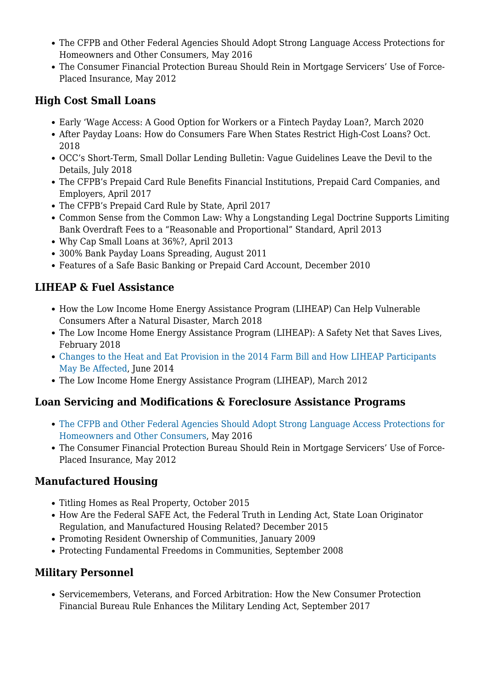- [The CFPB and Other Federal Agencies Should Adopt Strong Language Access Protections for](http://ourfinancialsecurity.org/wp-content/uploads/2016/05/AFR_LEP_Issue_Brief_05.26.2016.pdf) [Homeowners and Other Consumers](http://ourfinancialsecurity.org/wp-content/uploads/2016/05/AFR_LEP_Issue_Brief_05.26.2016.pdf), May 2016
- [The Consumer Financial Protection Bureau Should Rein in Mortgage Servicers' Use of Force-](https://www.nclc.org/images/pdf/regulatory_reform/ib-force-placed-insurance.pdf)[Placed Insurance](https://www.nclc.org/images/pdf/regulatory_reform/ib-force-placed-insurance.pdf), May 2012

## **High Cost Small Loans**

- [Early 'Wage Access: A Good Option for Workers or a Fintech Payday Loan?,](http://bit.ly/early-wage-access) March 2020
- [After Payday Loans: How do Consumers Fare When States Restrict High-Cost Loans?](http://bit.ly/2NZ2NLF) Oct. 2018
- [OCC's Short-Term, Small Dollar Lending Bulletin: Vague Guidelines Leave the Devil to the](https://www.nclc.org/images/pdf/high_cost_small_loans/payday_loans/ib-occ-short-term-small-dollar-lending.pdf) [Details,](https://www.nclc.org/images/pdf/high_cost_small_loans/payday_loans/ib-occ-short-term-small-dollar-lending.pdf) July 2018
- [The CFPB's Prepaid Card Rule Benefits Financial Institutions, Prepaid Card Companies, and](https://www.nclc.org/images/pdf/banking_and_payment_systems/ib-prepaid-card-rule-industry-benefits.pdf) [Employers,](https://www.nclc.org/images/pdf/banking_and_payment_systems/ib-prepaid-card-rule-industry-benefits.pdf) April 2017
- [The CFPB's Prepaid Card Rule by State,](https://www.nclc.org/?p=5852) April 2017
- [Common Sense from the Common Law: Why a Longstanding Legal Doctrine Supports Limiting](https://www.nclc.org/images/pdf/high_cost_small_loans/ib-common-sense-common-law.pdf) [Bank Overdraft Fees to a "Reasonable and Proportional" Standard](https://www.nclc.org/images/pdf/high_cost_small_loans/ib-common-sense-common-law.pdf), April 2013
- [Why Cap Small Loans at 36%?,](https://www.nclc.org/images/pdf/pr-reports/ib-why36pct.pdf) April 2013
- [300% Bank Payday Loans Spreading,](https://www.nclc.org/images/pdf/banking_and_payment_systems/ib_bank_payday_spreading.pdf) August 2011
- [Features of a Safe Basic Banking or Prepaid Card Account,](https://www.nclc.org/images/pdf/banking_and_payment_systems/issue-brief-safe-banking.pdf) December 2010

# **LIHEAP & Fuel Assistance**

- [How the Low Income Home Energy Assistance Program \(LIHEAP\) Can Help Vulnerable](https://www.nclc.org/images/pdf/disaster-relief/ib-liheap-disaster-response.pdf) [Consumers After a Natural Disaster](https://www.nclc.org/images/pdf/disaster-relief/ib-liheap-disaster-response.pdf), March 2018
- [The Low Income Home Energy Assistance Program \(LIHEAP\): A Safety Net that Saves Lives](https://www.nclc.org/images/pdf/energy_utility_telecom/liheap/ib-liheap-safety-net-saves-lives.pdf), February 2018
- [Changes to the Heat and Eat Provision in the 2014 Farm Bill and How LIHEAP Participants](https://www.nclc.org/images/pdf/energy_utility_telecom/liheap/ib-heatandat2014-farm-bill.pdf) [May Be Affected,](https://www.nclc.org/images/pdf/energy_utility_telecom/liheap/ib-heatandat2014-farm-bill.pdf) June 2014
- [The Low Income Home Energy Assistance Program \(LIHEAP\)](https://www.nclc.org/images/pdf/energy_utility_telecom/liheap/issue-brief-liheap-march2012.pdf), March 2012

# **Loan Servicing and Modifications & Foreclosure Assistance Programs**

- [The CFPB and Other Federal Agencies Should Adopt Strong Language Access Protections for](http://ourfinancialsecurity.org/wp-content/uploads/2016/05/AFR_LEP_Issue_Brief_05.26.2016.pdf) [Homeowners and Other Consumers](http://ourfinancialsecurity.org/wp-content/uploads/2016/05/AFR_LEP_Issue_Brief_05.26.2016.pdf), May 2016
- [The Consumer Financial Protection Bureau Should Rein in Mortgage Servicers' Use of Force-](https://www.nclc.org/images/pdf/regulatory_reform/ib-force-placed-insurance.pdf)[Placed Insurance](https://www.nclc.org/images/pdf/regulatory_reform/ib-force-placed-insurance.pdf), May 2012

# **Manufactured Housing**

- [Titling Homes as Real Property,](https://www.nclc.org/images/pdf/manufactured_housing/titling-homes2.pdf) October 2015
- [How Are the Federal SAFE Act, the Federal Truth in Lending Act, State Loan Originator](https://www.nclc.org/images/pdf/manufactured_housing/How-does-SAFE-Act-apply-to-MHDec2015.pdf) [Regulation, and Manufactured Housing Related?](https://www.nclc.org/images/pdf/manufactured_housing/How-does-SAFE-Act-apply-to-MHDec2015.pdf) December 2015
- [Promoting Resident Ownership of Communities](https://www.nclc.org/images/pdf/manufactured_housing/promoting-resident-ownership2.pdf), January 2009
- [Protecting Fundamental Freedoms in Communities](https://www.nclc.org/images/pdf/manufactured_housing/fundamental-freedoms2.pdf), September 2008

#### **Military Personnel**

[Servicemembers, Veterans, and Forced Arbitration: How the New Consumer Protection](https://www.nclc.org/images/pdf/arbitration/ib-arbitration-rule-military-ledning.pdf) [Financial Bureau Rule Enhances the Military Lending Act,](https://www.nclc.org/images/pdf/arbitration/ib-arbitration-rule-military-ledning.pdf) September 2017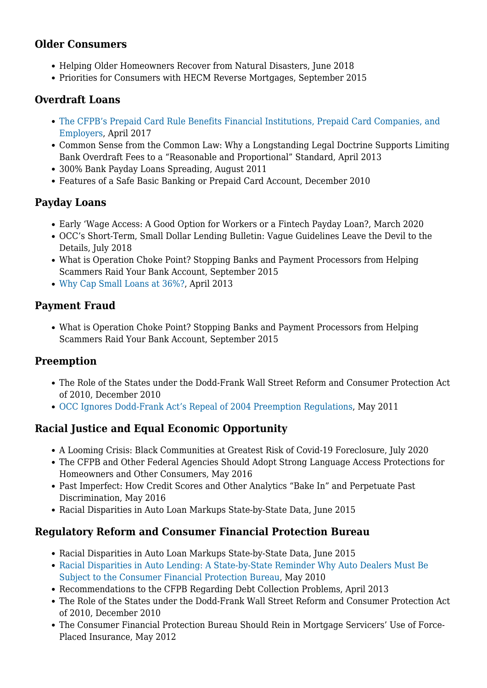#### **Older Consumers**

- [Helping Older Homeowners Recover from Natural Disasters,](https://www.nclc.org/images/pdf/disaster-relief/ib-helping-older-recover-disaster.pdf) June 2018
- [Priorities for Consumers with HECM Reverse Mortgages,](https://www.nclc.org/images/pdf/foreclosure_mortgage/reverse-mortgages/HECM-changes92515.pdf) September 2015

#### **Overdraft Loans**

- [The CFPB's Prepaid Card Rule Benefits Financial Institutions, Prepaid Card Companies, and](https://www.nclc.org/images/pdf/banking_and_payment_systems/ib-prepaid-card-rule-industry-benefits.pdf) [Employers,](https://www.nclc.org/images/pdf/banking_and_payment_systems/ib-prepaid-card-rule-industry-benefits.pdf) April 2017
- [Common Sense from the Common Law: Why a Longstanding Legal Doctrine Supports Limiting](https://www.nclc.org/images/pdf/high_cost_small_loans/ib-common-sense-common-law.pdf) [Bank Overdraft Fees to a "Reasonable and Proportional" Standard](https://www.nclc.org/images/pdf/high_cost_small_loans/ib-common-sense-common-law.pdf), April 2013
- [300% Bank Payday Loans Spreading,](https://www.nclc.org/images/pdf/banking_and_payment_systems/ib_bank_payday_spreading.pdf) August 2011
- [Features of a Safe Basic Banking or Prepaid Card Account,](https://www.nclc.org/images/pdf/banking_and_payment_systems/issue-brief-safe-banking.pdf) December 2010

## **Payday Loans**

- [Early 'Wage Access: A Good Option for Workers or a Fintech Payday Loan?,](http://bit.ly/early-wage-access) March 2020
- [OCC's Short-Term, Small Dollar Lending Bulletin: Vague Guidelines Leave the Devil to the](https://www.nclc.org/images/pdf/high_cost_small_loans/payday_loans/ib-occ-short-term-small-dollar-lending.pdf) [Details,](https://www.nclc.org/images/pdf/high_cost_small_loans/payday_loans/ib-occ-short-term-small-dollar-lending.pdf) July 2018
- [What is Operation Choke Point? Stopping Banks and Payment Processors from Helping](https://www.nclc.org/images/pdf/banking_and_payment_systems/payment-fraud/ib_what_is_operation_choke_point52815.pdf) [Scammers Raid Your Bank Account,](https://www.nclc.org/images/pdf/banking_and_payment_systems/payment-fraud/ib_what_is_operation_choke_point52815.pdf) September 2015
- [Why Cap Small Loans at 36%?,](https://www.nclc.org/images/pdf/pr-reports/ib-why36pct.pdf) April 2013

## **Payment Fraud**

[What is Operation Choke Point? Stopping Banks and Payment Processors from Helping](https://www.nclc.org/images/pdf/banking_and_payment_systems/payment-fraud/ib_what_is_operation_choke_point52815.pdf) [Scammers Raid Your Bank Account,](https://www.nclc.org/images/pdf/banking_and_payment_systems/payment-fraud/ib_what_is_operation_choke_point52815.pdf) September 2015

# **Preemption**

- [The Role of the States under the Dodd-Frank Wall Street Reform and Consumer Protection Act](https://www.nclc.org/images/pdf/legislation/dodd-frank-role-of-the-states.pdf) [of 2010](https://www.nclc.org/images/pdf/legislation/dodd-frank-role-of-the-states.pdf), December 2010
- [OCC Ignores Dodd-Frank Act's Repeal of 2004 Preemption Regulations](https://www.nclc.org/images/pdf/preemption/occ-ignores-dodd-frank.pdf), May 2011

# **Racial Justice and Equal Economic Opportunity**

- [A Looming Crisis: Black Communities at Greatest Risk of Covid-19 Foreclosure](https://bit.ly/brief-black-covid-foreclosure-risk), July 2020
- [The CFPB and Other Federal Agencies Should Adopt Strong Language Access Protections for](http://ourfinancialsecurity.org/wp-content/uploads/2016/05/AFR_LEP_Issue_Brief_05.26.2016.pdf) [Homeowners and Other Consumers](http://ourfinancialsecurity.org/wp-content/uploads/2016/05/AFR_LEP_Issue_Brief_05.26.2016.pdf), May 2016
- [Past Imperfect: How Credit Scores and Other Analytics "Bake In" and Perpetuate Past](https://www.nclc.org/images/pdf/credit_discrimination/Past_Imperfect050616.pdf) [Discrimination](https://www.nclc.org/images/pdf/credit_discrimination/Past_Imperfect050616.pdf), May 2016
- [Racial Disparities in Auto Loan Markups State-by-State Data,](https://www.nclc.org/images/pdf/car_sales/ib-auto-dealers-racial_disparites.pdf) June 2015

#### **Regulatory Reform and Consumer Financial Protection Bureau**

- [Racial Disparities in Auto Loan Markups State-by-State Data,](https://www.nclc.org/images/pdf/car_sales/ib-auto-dealers-racial_disparities.pdf) June 2015
- [Racial Disparities in Auto Lending: A State-by-State Reminder Why Auto Dealers Must Be](https://www.nclc.org/images/pdf/regulatory_reform/issue-brief-auto-dealer-racial-disparites.pdf) [Subject to the Consumer Financial Protection Bureau,](https://www.nclc.org/images/pdf/regulatory_reform/issue-brief-auto-dealer-racial-disparites.pdf) May 2010
- [Recommendations to the CFPB Regarding Debt Collection Problems](https://www.nclc.org/images/pdf/debt_collection/recommendations-to-CFPB-Debt-Collection.pdf), April 2013
- [The Role of the States under the Dodd-Frank Wall Street Reform and Consumer Protection Act](https://www.nclc.org/images/pdf/legislation/dodd-frank-role-of-the-states.pdf) [of 2010](https://www.nclc.org/images/pdf/legislation/dodd-frank-role-of-the-states.pdf), December 2010
- [The Consumer Financial Protection Bureau Should Rein in Mortgage Servicers' Use of Force-](https://www.nclc.org/images/pdf/regulatory_reform/ib-force-placed-insurance.pdf)[Placed Insurance](https://www.nclc.org/images/pdf/regulatory_reform/ib-force-placed-insurance.pdf), May 2012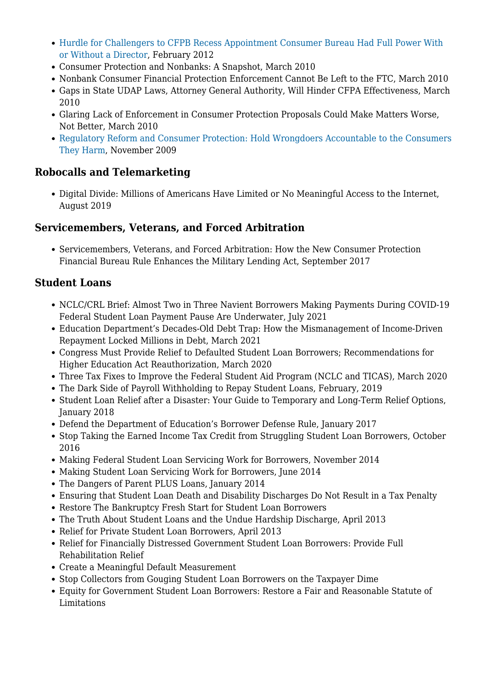- [Hurdle for Challengers to CFPB Recess Appointment Consumer Bureau Had Full Power With](https://www.nclc.org/images/pdf/regulatory_reform/issue-brief-cfpb-interim-powers.pdf) [or Without a Director](https://www.nclc.org/images/pdf/regulatory_reform/issue-brief-cfpb-interim-powers.pdf), February 2012
- [Consumer Protection and Nonbanks: A Snapshot](https://www.nclc.org/images/pdf/regulatory_reform/issue-brief-cfpa-nonbanks.pdf), March 2010
- [Nonbank Consumer Financial Protection Enforcement Cannot Be Left to the FTC](https://www.nclc.org/images/pdf/regulatory_reform/issue-ftc-enforcement.pdf), March 2010
- [Gaps in State UDAP Laws, Attorney General Authority, Will Hinder CFPA Effectiveness](https://www.nclc.org/images/pdf/regulatory_reform/issue-state-udap-cfpa.pdf), March 2010
- [Glaring Lack of Enforcement in Consumer Protection Proposals Could Make Matters Worse,](https://www.nclc.org/images/pdf/regulatory_reform/issue-cfpa-enforcement-gap.pdf) [Not Better,](https://www.nclc.org/images/pdf/regulatory_reform/issue-cfpa-enforcement-gap.pdf) March 2010
- [Regulatory Reform and Consumer Protection: Hold Wrongdoers Accountable to the Consumers](https://www.nclc.org/images/pdf/regulatory_reform/issue-hold-wrongdoers-accountable.pdf) [They Harm,](https://www.nclc.org/images/pdf/regulatory_reform/issue-hold-wrongdoers-accountable.pdf) November 2009

## **Robocalls and Telemarketing**

[Digital Divide: Millions of Americans Have Limited or No Meaningful Access to the Internet,](https://www.nclc.org/issues/ib-limited-access-to-internet.html) August 2019

#### **Servicemembers, Veterans, and Forced Arbitration**

[Servicemembers, Veterans, and Forced Arbitration: How the New Consumer Protection](https://www.nclc.org/images/pdf/arbitration/ib-arbitration-rule-military-ledning.pdf) [Financial Bureau Rule Enhances the Military Lending Act,](https://www.nclc.org/images/pdf/arbitration/ib-arbitration-rule-military-ledning.pdf) September 2017

## **Student Loans**

- NCLC/CRL Brief: [Almost Two in Three Navient Borrowers Making Payments During COVID-19](https://bit.ly/navient-borrowers-covid) [Federal Student Loan Payment Pause Are Underwater](https://bit.ly/navient-borrowers-covid), July 2021
- [Education Department's Decades-Old Debt Trap: How the Mismanagement of Income-Driven](https://www.nclc.org/uncategorized/issue-brief-education-departments-decades-old-debt-trap-how-the-mismanagement-of-income-driven-repayment-locked-millions-in-debt.html) [Repayment Locked Millions in Debt,](https://www.nclc.org/uncategorized/issue-brief-education-departments-decades-old-debt-trap-how-the-mismanagement-of-income-driven-repayment-locked-millions-in-debt.html) March 2021
- [Congress Must Provide Relief to Defaulted Student Loan Borrowers; Recommendations for](http://bit.ly/default-borrowers) [Higher Education Act Reauthorization,](http://bit.ly/default-borrowers) March 2020
- [Three Tax Fixes to Improve the Federal Student Aid Program \(NCLC and TICAS\),](https://bit.ly/3-tax-fixes-fed-student-aid) March 2020
- [The Dark Side of Payroll Withholding to Repay Student Loans](http://bit.ly/dark-side-sl), February, 2019
- [Student Loan Relief after a Disaster: Your Guide to Temporary and Long-Term Relief Options](https://www.nclc.org/images/pdf/disaster-relief/disaster-relief-self-help-student-loan.pdf), January 2018
- [Defend the Department of Education's Borrower Defense Rule,](https://www.nclc.org/images/pdf/special_projects/sl/defend-doe-borrower-def-rule.pdf) January 2017
- [Stop Taking the Earned Income Tax Credit from Struggling Student Loan Borrowers](https://www.studentloanborrowerassistance.org/wp-content/uploads/2013/05/ib-stop-taking-earned-income-tax.pdf), October 2016
- [Making Federal Student Loan Servicing Work for Borrowers](https://www.studentloanborrowerassistance.org/wp-content/uploads/2013/05/pb-servicing-principles-nov2014.pdf), November 2014
- [Making Student Loan Servicing Work for Borrowers](https://www.studentloanborrowerassistance.org/wp-content/uploads/2013/05/issue-brief-servicing-fed-loans.pdf), June 2014
- [The Dangers of Parent PLUS Loans,](https://www.studentloanborrowerassistance.org/wp-content/uploads/2014/01/ib-plus-loans-jan2014.pdf) January 2014
- [Ensuring that Student Loan Death and Disability Discharges Do Not Result in a Tax Penalty](https://www.studentloanborrowerassistance.org/wp-content/uploads/2013/05/tax-talking-points.pdf)
- [Restore The Bankruptcy Fresh Start for Student Loan Borrowers](https://www.studentloanborrowerassistance.org/wp-content/uploads/2013/05/bankruptcy.pdf)
- [The Truth About Student Loans and the Undue Hardship Discharge,](https://www.studentloanborrowerassistance.org/wp-content/uploads/2013/05/iulianoresponse.pdf) April 2013
- [Relief for Private Student Loan Borrowers,](https://www.studentloanborrowerassistance.org/wp-content/uploads/2013/05/private-loans-priorities-2013.pdf) April 2013
- [Relief for Financially Distressed Government Student Loan Borrowers: Provide Full](https://www.studentloanborrowerassistance.org/wp-content/uploads/2013/05/rehabpolicy.pdf) [Rehabilitation Relief](https://www.studentloanborrowerassistance.org/wp-content/uploads/2013/05/rehabpolicy.pdf)
- [Create a Meaningful Default Measurement](https://www.studentloanborrowerassistance.org/wp-content/uploads/2013/05/cohortdefault.pdf)
- [Stop Collectors from Gouging Student Loan Borrowers on the Taxpayer Dime](https://www.studentloanborrowerassistance.org/wp-content/uploads/2013/05/brief-pca-2013.pdf)
- [Equity for Government Student Loan Borrowers: Restore a Fair and Reasonable Statute of](https://www.studentloanborrowerassistance.org/wp-content/uploads/2013/05/statuteoflim.pdf) [Limitations](https://www.studentloanborrowerassistance.org/wp-content/uploads/2013/05/statuteoflim.pdf)